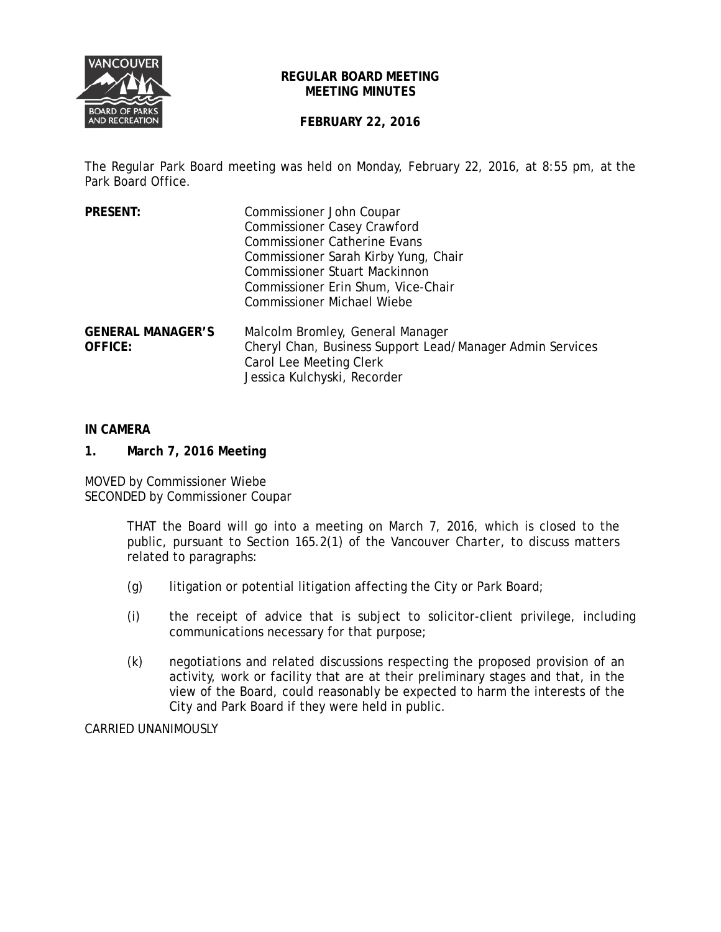

### **REGULAR BOARD MEETING MEETING MINUTES**

# **FEBRUARY 22, 2016**

The Regular Park Board meeting was held on Monday, February 22, 2016, at 8:55 pm, at the Park Board Office.

| <b>PRESENT:</b>                            | Commissioner John Coupar<br><b>Commissioner Casey Crawford</b><br><b>Commissioner Catherine Evans</b><br>Commissioner Sarah Kirby Yung, Chair<br><b>Commissioner Stuart Mackinnon</b><br>Commissioner Erin Shum, Vice-Chair<br><b>Commissioner Michael Wiebe</b> |
|--------------------------------------------|------------------------------------------------------------------------------------------------------------------------------------------------------------------------------------------------------------------------------------------------------------------|
| <b>GENERAL MANAGER'S</b><br><b>OFFICE:</b> | Malcolm Bromley, General Manager<br>Cheryl Chan, Business Support Lead/Manager Admin Services<br>Carol Lee Meeting Clerk<br>Jessica Kulchyski, Recorder                                                                                                          |

### **IN CAMERA**

**1. March 7, 2016 Meeting**

MOVED by Commissioner Wiebe SECONDED by Commissioner Coupar

> THAT the Board will go into a meeting on March 7, 2016, which is closed to the public, pursuant to Section 165.2(1) of the *Vancouver Charter*, to discuss matters related to paragraphs:

- (g) litigation or potential litigation affecting the City or Park Board;
- (i) the receipt of advice that is subject to solicitor-client privilege, including communications necessary for that purpose;
- (k) negotiations and related discussions respecting the proposed provision of an activity, work or facility that are at their preliminary stages and that, in the view of the Board, could reasonably be expected to harm the interests of the City and Park Board if they were held in public.

CARRIED UNANIMOUSLY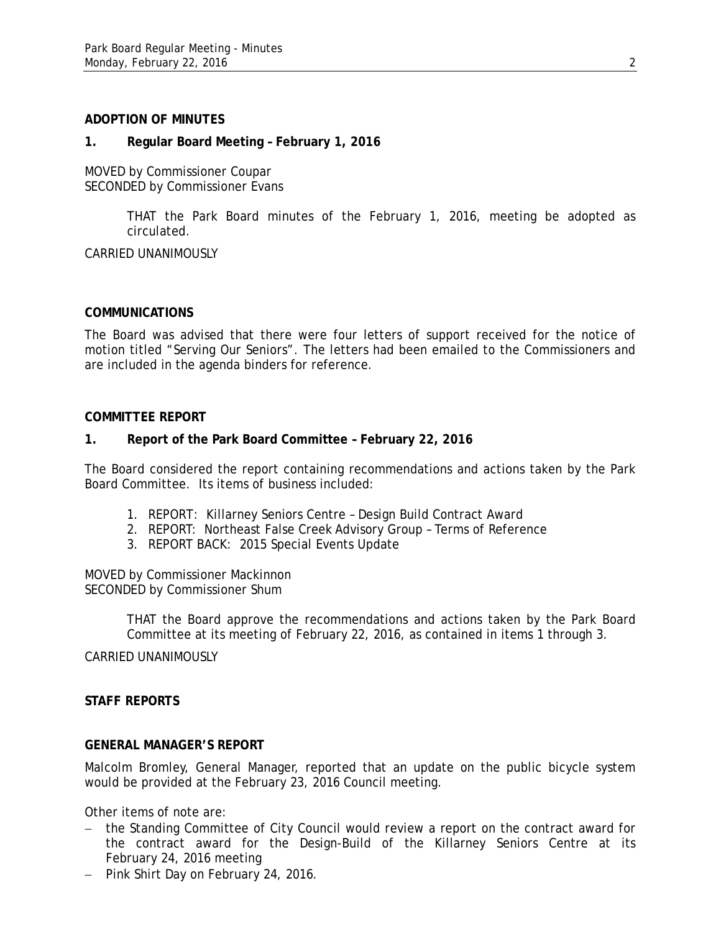#### **ADOPTION OF MINUTES**

#### **1. Regular Board Meeting – February 1, 2016**

MOVED by Commissioner Coupar SECONDED by Commissioner Evans

> THAT the Park Board minutes of the February 1, 2016, meeting be adopted as circulated.

CARRIED UNANIMOUSLY

#### **COMMUNICATIONS**

The Board was advised that there were four letters of support received for the notice of motion titled "Serving Our Seniors". The letters had been emailed to the Commissioners and are included in the agenda binders for reference.

#### **COMMITTEE REPORT**

#### **1. Report of the Park Board Committee – February 22, 2016**

The Board considered the report containing recommendations and actions taken by the Park Board Committee. Its items of business included:

- 1. REPORT: Killarney Seniors Centre Design Build Contract Award
- 2. REPORT: Northeast False Creek Advisory Group Terms of Reference
- 3. REPORT BACK: 2015 Special Events Update

MOVED by Commissioner Mackinnon SECONDED by Commissioner Shum

> THAT the Board approve the recommendations and actions taken by the Park Board Committee at its meeting of February 22, 2016, as contained in items 1 through 3.

CARRIED UNANIMOUSLY

## **STAFF REPORTS**

### **GENERAL MANAGER'S REPORT**

Malcolm Bromley, General Manager, reported that an update on the public bicycle system would be provided at the February 23, 2016 Council meeting.

Other items of note are:

- − the Standing Committee of City Council would review a report on the contract award for the contract award for the Design-Build of the Killarney Seniors Centre at its February 24, 2016 meeting
- − Pink Shirt Day on February 24, 2016.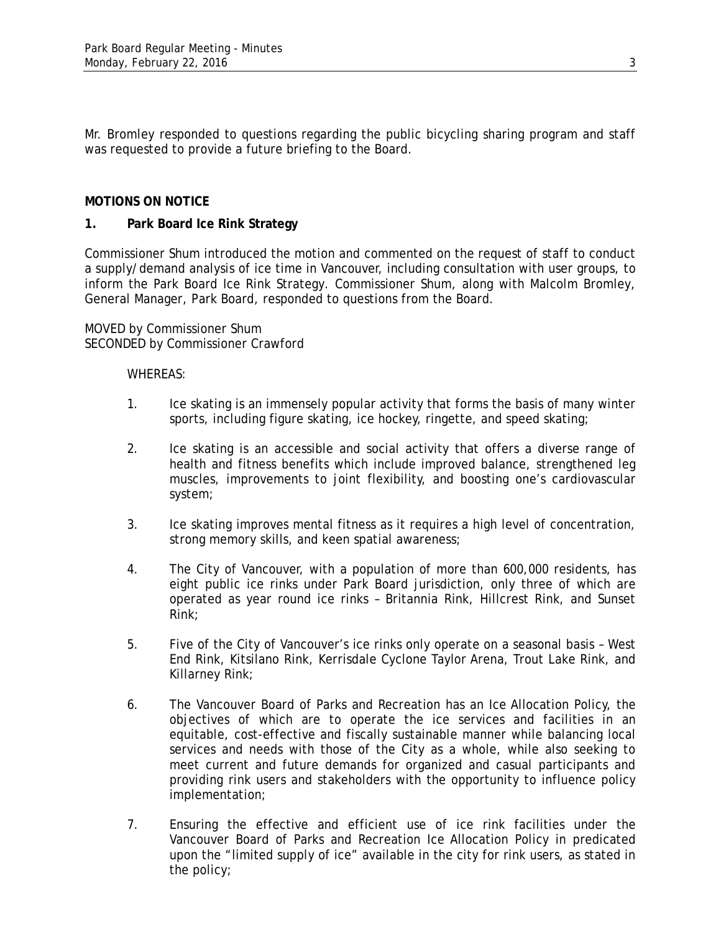Mr. Bromley responded to questions regarding the public bicycling sharing program and staff was requested to provide a future briefing to the Board.

## **MOTIONS ON NOTICE**

### **1. Park Board Ice Rink Strategy**

Commissioner Shum introduced the motion and commented on the request of staff to conduct a supply/demand analysis of ice time in Vancouver, including consultation with user groups, to inform the Park Board Ice Rink Strategy. Commissioner Shum, along with Malcolm Bromley, General Manager, Park Board, responded to questions from the Board.

MOVED by Commissioner Shum SECONDED by Commissioner Crawford

- 1. Ice skating is an immensely popular activity that forms the basis of many winter sports, including figure skating, ice hockey, ringette, and speed skating;
- 2. Ice skating is an accessible and social activity that offers a diverse range of health and fitness benefits which include improved balance, strengthened leg muscles, improvements to joint flexibility, and boosting one's cardiovascular system;
- 3. Ice skating improves mental fitness as it requires a high level of concentration, strong memory skills, and keen spatial awareness;
- 4. The City of Vancouver, with a population of more than 600,000 residents, has eight public ice rinks under Park Board jurisdiction, only three of which are operated as year round ice rinks – Britannia Rink, Hillcrest Rink, and Sunset Rink;
- 5. Five of the City of Vancouver's ice rinks only operate on a seasonal basis West End Rink, Kitsilano Rink, Kerrisdale Cyclone Taylor Arena, Trout Lake Rink, and Killarney Rink;
- 6. The Vancouver Board of Parks and Recreation has an Ice Allocation Policy, the objectives of which are to operate the ice services and facilities in an equitable, cost-effective and fiscally sustainable manner while balancing local services and needs with those of the City as a whole, while also seeking to meet current and future demands for organized and casual participants and providing rink users and stakeholders with the opportunity to influence policy implementation;
- 7. Ensuring the effective and efficient use of ice rink facilities under the Vancouver Board of Parks and Recreation Ice Allocation Policy in predicated upon the "limited supply of ice" available in the city for rink users, as stated in the policy;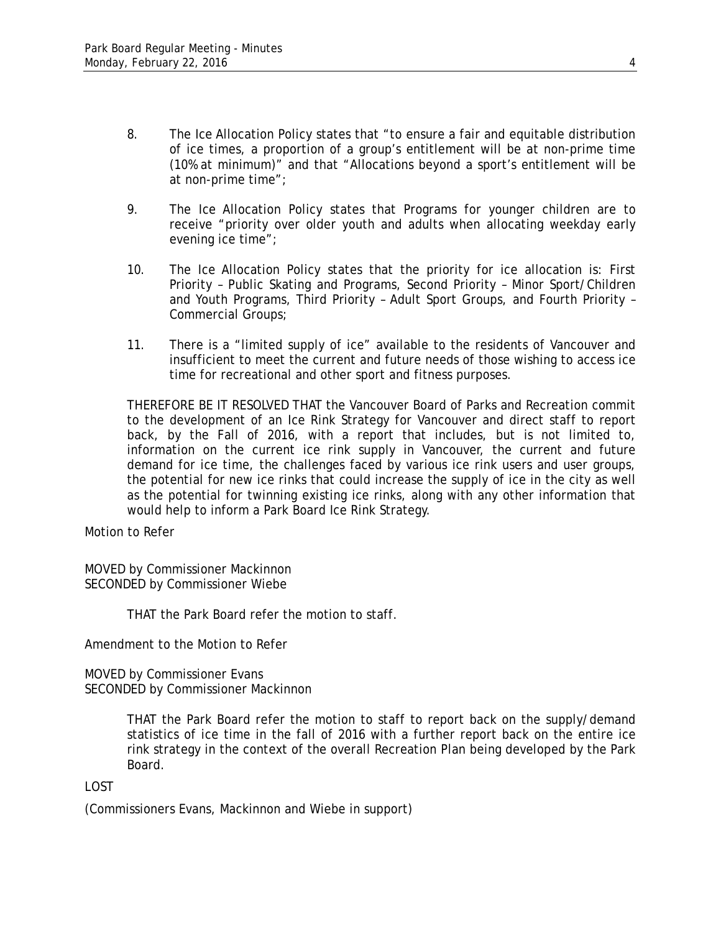- 8. The Ice Allocation Policy states that "to ensure a fair and equitable distribution of ice times, a proportion of a group's entitlement will be at non-prime time (10% at minimum)" and that "Allocations beyond a sport's entitlement will be at non-prime time";
- 9. The Ice Allocation Policy states that Programs for younger children are to receive "priority over older youth and adults when allocating weekday early evening ice time";
- 10. The Ice Allocation Policy states that the priority for ice allocation is: First Priority – Public Skating and Programs, Second Priority – Minor Sport/Children and Youth Programs, Third Priority – Adult Sport Groups, and Fourth Priority – Commercial Groups;
- 11. There is a "limited supply of ice" available to the residents of Vancouver and insufficient to meet the current and future needs of those wishing to access ice time for recreational and other sport and fitness purposes.

THEREFORE BE IT RESOLVED THAT the Vancouver Board of Parks and Recreation commit to the development of an Ice Rink Strategy for Vancouver and direct staff to report back, by the Fall of 2016, with a report that includes, but is not limited to, information on the current ice rink supply in Vancouver, the current and future demand for ice time, the challenges faced by various ice rink users and user groups, the potential for new ice rinks that could increase the supply of ice in the city as well as the potential for twinning existing ice rinks, along with any other information that would help to inform a Park Board Ice Rink Strategy.

Motion to Refer

MOVED by Commissioner Mackinnon SECONDED by Commissioner Wiebe

THAT the Park Board refer the motion to staff.

Amendment to the Motion to Refer

MOVED by Commissioner Evans SECONDED by Commissioner Mackinnon

> THAT the Park Board refer the motion to staff to report back on the supply/demand statistics of ice time in the fall of 2016 with a further report back on the entire ice rink strategy in the context of the overall Recreation Plan being developed by the Park Board.

LOST

(Commissioners Evans, Mackinnon and Wiebe in support)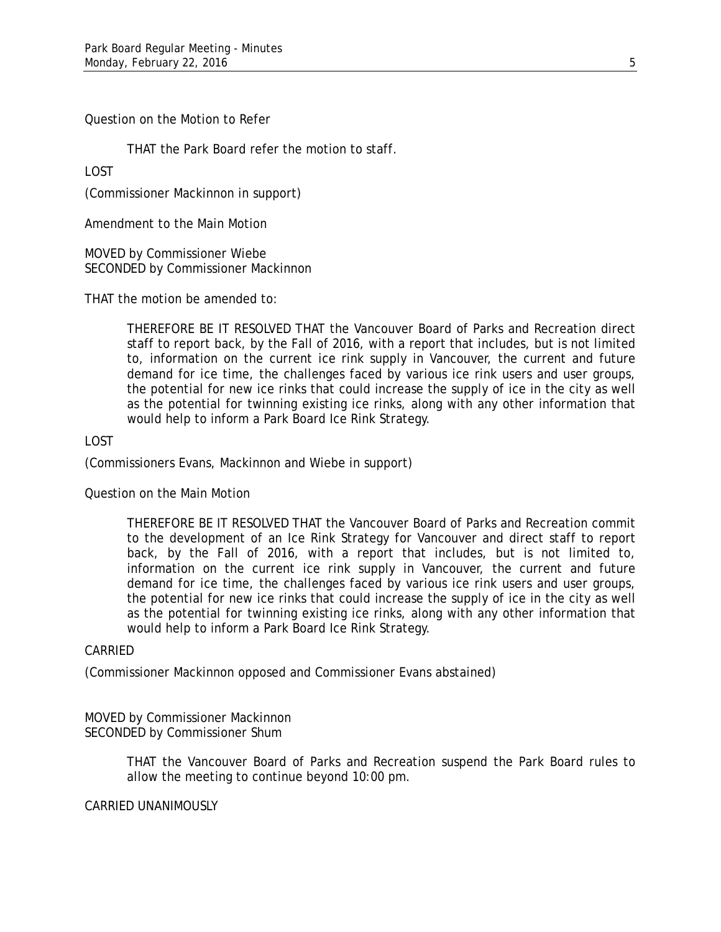Question on the Motion to Refer

THAT the Park Board refer the motion to staff.

LOST

(Commissioner Mackinnon in support)

Amendment to the Main Motion

MOVED by Commissioner Wiebe SECONDED by Commissioner Mackinnon

THAT the motion be amended to:

THEREFORE BE IT RESOLVED THAT the Vancouver Board of Parks and Recreation direct staff to report back, by the Fall of 2016, with a report that includes, but is not limited to, information on the current ice rink supply in Vancouver, the current and future demand for ice time, the challenges faced by various ice rink users and user groups, the potential for new ice rinks that could increase the supply of ice in the city as well as the potential for twinning existing ice rinks, along with any other information that would help to inform a Park Board Ice Rink Strategy.

### LOST

(Commissioners Evans, Mackinnon and Wiebe in support)

Question on the Main Motion

THEREFORE BE IT RESOLVED THAT the Vancouver Board of Parks and Recreation commit to the development of an Ice Rink Strategy for Vancouver and direct staff to report back, by the Fall of 2016, with a report that includes, but is not limited to, information on the current ice rink supply in Vancouver, the current and future demand for ice time, the challenges faced by various ice rink users and user groups, the potential for new ice rinks that could increase the supply of ice in the city as well as the potential for twinning existing ice rinks, along with any other information that would help to inform a Park Board Ice Rink Strategy.

### CARRIED

(Commissioner Mackinnon opposed and Commissioner Evans abstained)

MOVED by Commissioner Mackinnon SECONDED by Commissioner Shum

> THAT the Vancouver Board of Parks and Recreation suspend the Park Board rules to allow the meeting to continue beyond 10:00 pm.

### CARRIED UNANIMOUSLY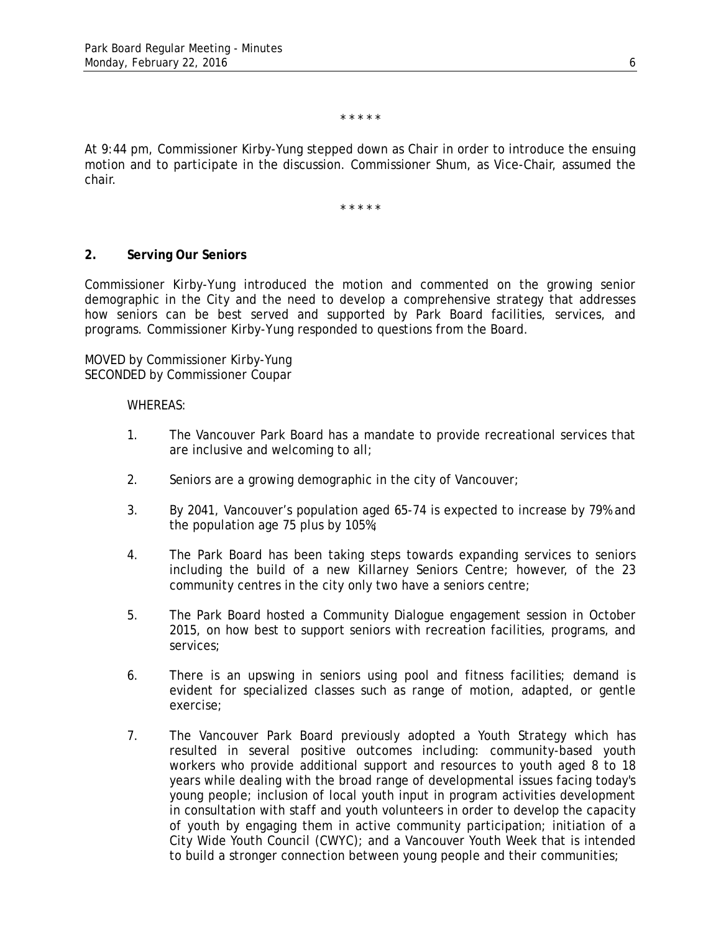\* \* \* \* \*

At 9:44 pm, Commissioner Kirby-Yung stepped down as Chair in order to introduce the ensuing motion and to participate in the discussion. Commissioner Shum, as Vice-Chair, assumed the chair.

\* \* \* \* \*

#### **2. Serving Our Seniors**

Commissioner Kirby-Yung introduced the motion and commented on the growing senior demographic in the City and the need to develop a comprehensive strategy that addresses how seniors can be best served and supported by Park Board facilities, services, and programs. Commissioner Kirby-Yung responded to questions from the Board.

MOVED by Commissioner Kirby-Yung SECONDED by Commissioner Coupar

- 1. The Vancouver Park Board has a mandate to provide recreational services that are inclusive and welcoming to all;
- 2. Seniors are a growing demographic in the city of Vancouver;
- 3. By 2041, Vancouver's population aged 65-74 is expected to increase by 79% and the population age 75 plus by 105%;
- 4. The Park Board has been taking steps towards expanding services to seniors including the build of a new Killarney Seniors Centre; however, of the 23 community centres in the city only two have a seniors centre;
- 5. The Park Board hosted a Community Dialogue engagement session in October 2015, on how best to support seniors with recreation facilities, programs, and services;
- 6. There is an upswing in seniors using pool and fitness facilities; demand is evident for specialized classes such as range of motion, adapted, or gentle exercise;
- 7. The Vancouver Park Board previously adopted a Youth Strategy which has resulted in several positive outcomes including: community-based youth workers who provide additional support and resources to youth aged 8 to 18 years while dealing with the broad range of developmental issues facing today's young people; inclusion of local youth input in program activities development in consultation with staff and youth volunteers in order to develop the capacity of youth by engaging them in active community participation; initiation of a City Wide Youth Council (CWYC); and a Vancouver Youth Week that is intended to build a stronger connection between young people and their communities;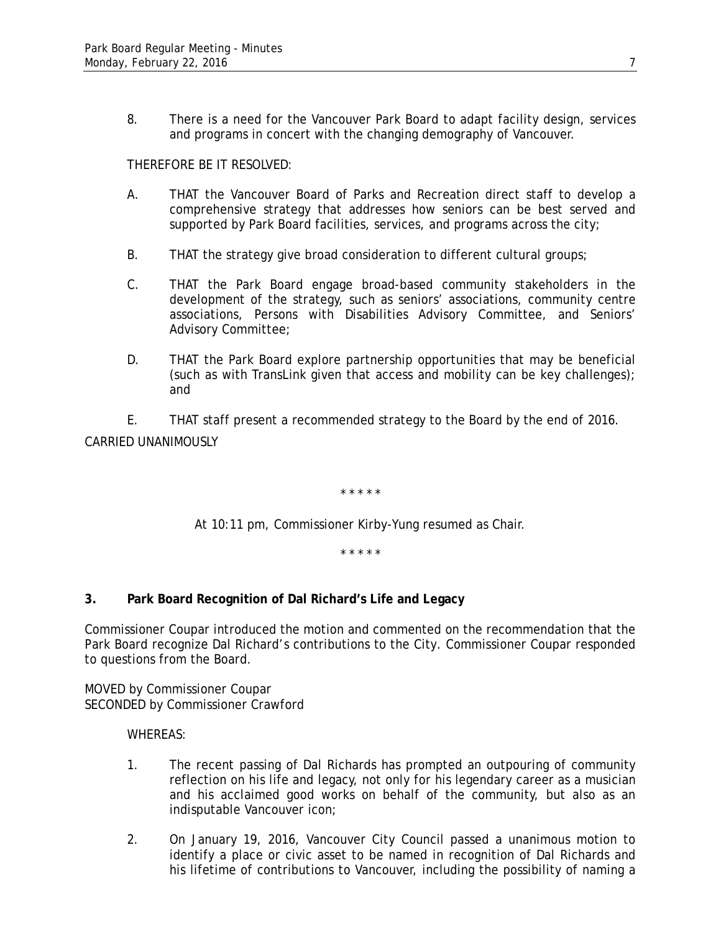8. There is a need for the Vancouver Park Board to adapt facility design, services and programs in concert with the changing demography of Vancouver.

# THEREFORE BE IT RESOLVED:

- A. THAT the Vancouver Board of Parks and Recreation direct staff to develop a comprehensive strategy that addresses how seniors can be best served and supported by Park Board facilities, services, and programs across the city;
- B. THAT the strategy give broad consideration to different cultural groups;
- C. THAT the Park Board engage broad-based community stakeholders in the development of the strategy, such as seniors' associations, community centre associations, Persons with Disabilities Advisory Committee, and Seniors' Advisory Committee;
- D. THAT the Park Board explore partnership opportunities that may be beneficial (such as with TransLink given that access and mobility can be key challenges); and

E. THAT staff present a recommended strategy to the Board by the end of 2016. CARRIED UNANIMOUSLY

\* \* \* \* \*

At 10:11 pm, Commissioner Kirby-Yung resumed as Chair.

\* \* \* \* \*

# **3. Park Board Recognition of Dal Richard's Life and Legacy**

Commissioner Coupar introduced the motion and commented on the recommendation that the Park Board recognize Dal Richard's contributions to the City. Commissioner Coupar responded to questions from the Board.

MOVED by Commissioner Coupar SECONDED by Commissioner Crawford

- 1. The recent passing of Dal Richards has prompted an outpouring of community reflection on his life and legacy, not only for his legendary career as a musician and his acclaimed good works on behalf of the community, but also as an indisputable Vancouver icon;
- 2. On January 19, 2016, Vancouver City Council passed a unanimous motion to identify a place or civic asset to be named in recognition of Dal Richards and his lifetime of contributions to Vancouver, including the possibility of naming a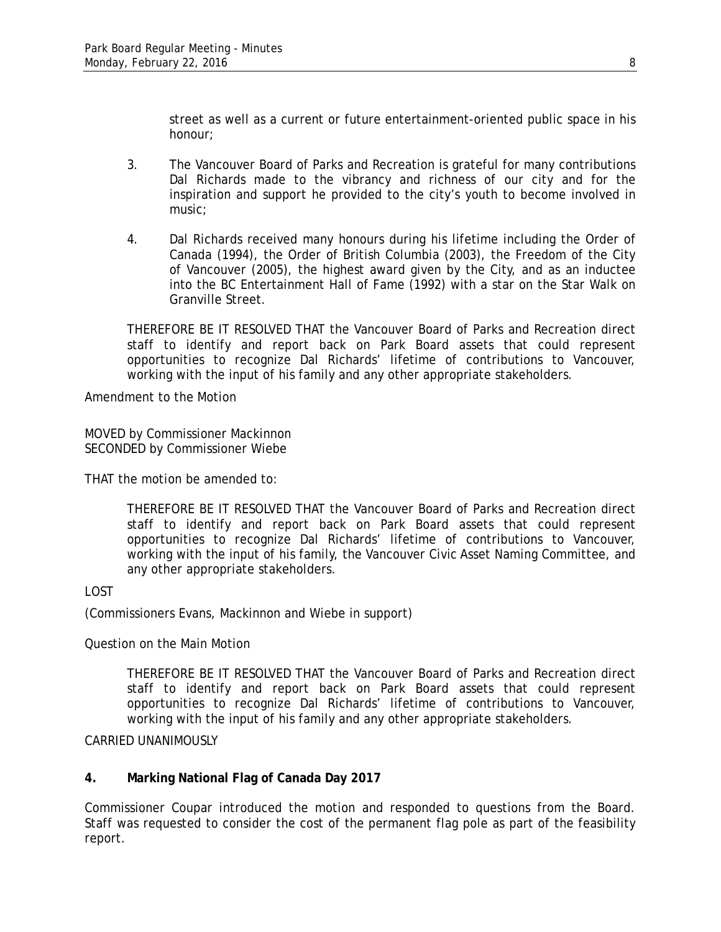street as well as a current or future entertainment-oriented public space in his honour;

- 3. The Vancouver Board of Parks and Recreation is grateful for many contributions Dal Richards made to the vibrancy and richness of our city and for the inspiration and support he provided to the city's youth to become involved in music;
- 4. Dal Richards received many honours during his lifetime including the Order of Canada (1994), the Order of British Columbia (2003), the Freedom of the City of Vancouver (2005), the highest award given by the City, and as an inductee into the BC Entertainment Hall of Fame (1992) with a star on the Star Walk on Granville Street.

THEREFORE BE IT RESOLVED THAT the Vancouver Board of Parks and Recreation direct staff to identify and report back on Park Board assets that could represent opportunities to recognize Dal Richards' lifetime of contributions to Vancouver, working with the input of his family and any other appropriate stakeholders.

Amendment to the Motion

MOVED by Commissioner Mackinnon SECONDED by Commissioner Wiebe

THAT the motion be amended to:

THEREFORE BE IT RESOLVED THAT the Vancouver Board of Parks and Recreation direct staff to identify and report back on Park Board assets that could represent opportunities to recognize Dal Richards' lifetime of contributions to Vancouver, working with the input of his family, the Vancouver Civic Asset Naming Committee, and any other appropriate stakeholders.

# LOST

(Commissioners Evans, Mackinnon and Wiebe in support)

Question on the Main Motion

THEREFORE BE IT RESOLVED THAT the Vancouver Board of Parks and Recreation direct staff to identify and report back on Park Board assets that could represent opportunities to recognize Dal Richards' lifetime of contributions to Vancouver, working with the input of his family and any other appropriate stakeholders.

CARRIED UNANIMOUSLY

### **4. Marking National Flag of Canada Day 2017**

Commissioner Coupar introduced the motion and responded to questions from the Board. Staff was requested to consider the cost of the permanent flag pole as part of the feasibility report.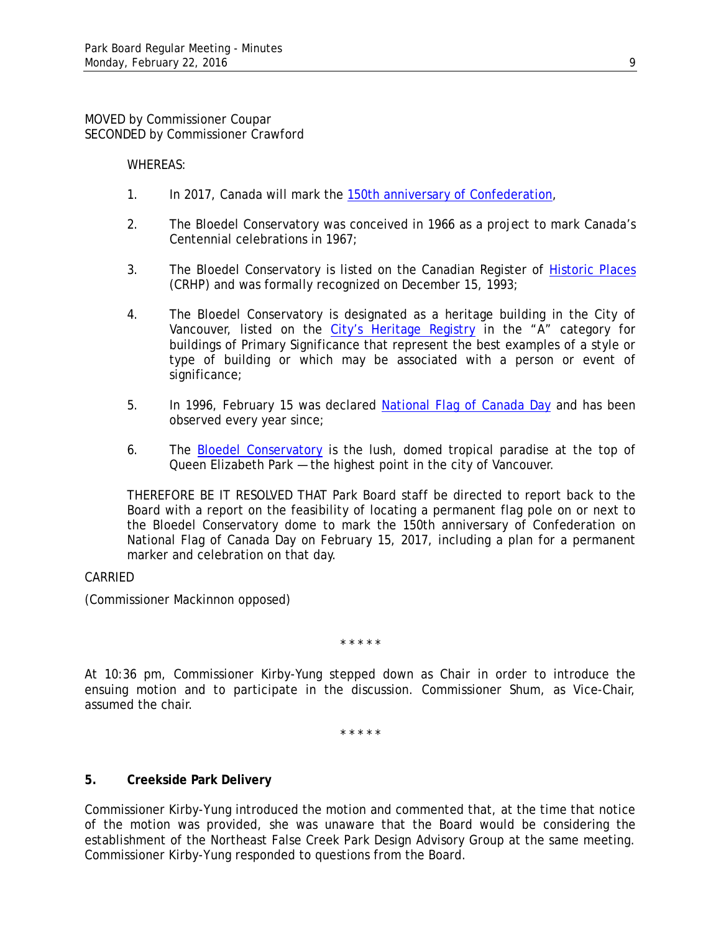MOVED by Commissioner Coupar SECONDED by Commissioner Crawford

WHEREAS:

- 1. In 2017, Canada will mark the [150th anniversary of Confederation,](http://canada.pch.gc.ca/eng/1342792785740)
- 2. The Bloedel Conservatory was conceived in 1966 as a project to mark Canada's Centennial celebrations in 1967;
- 3. The Bloedel Conservatory is listed on the Canadian Register of [Historic Places](http://www.historicplaces.ca/en/pages/about-apropos.aspx) (CRHP) and was formally recognized on December 15, 1993;
- 4. The Bloedel Conservatory is designated as a heritage building in the City of Vancouver, listed on the [City's Heritage Registry](http://vancouver.ca/files/cov/V001-vancouver-heritage-register.pdf) in the "A" category for buildings of Primary Significance that represent the best examples of a style or type of building or which may be associated with a person or event of significance;
- 5. In 1996, February 15 was declared [National Flag of Canada Day](http://canada.pch.gc.ca/eng/1449158599459) and has been observed every year since;
- 6. The [Bloedel Conservatory](http://vandusengarden.org/explore/bloedel-conservatory/) is the lush, domed tropical paradise at the top of Queen Elizabeth Park — the highest point in the city of Vancouver.

THEREFORE BE IT RESOLVED THAT Park Board staff be directed to report back to the Board with a report on the feasibility of locating a permanent flag pole on or next to the Bloedel Conservatory dome to mark the 150th anniversary of Confederation on National Flag of Canada Day on February 15, 2017, including a plan for a permanent marker and celebration on that day.

# CARRIED

(Commissioner Mackinnon opposed)

\* \* \* \* \*

At 10:36 pm, Commissioner Kirby-Yung stepped down as Chair in order to introduce the ensuing motion and to participate in the discussion. Commissioner Shum, as Vice-Chair, assumed the chair.

\* \* \* \* \*

# **5. Creekside Park Delivery**

Commissioner Kirby-Yung introduced the motion and commented that, at the time that notice of the motion was provided, she was unaware that the Board would be considering the establishment of the Northeast False Creek Park Design Advisory Group at the same meeting. Commissioner Kirby-Yung responded to questions from the Board.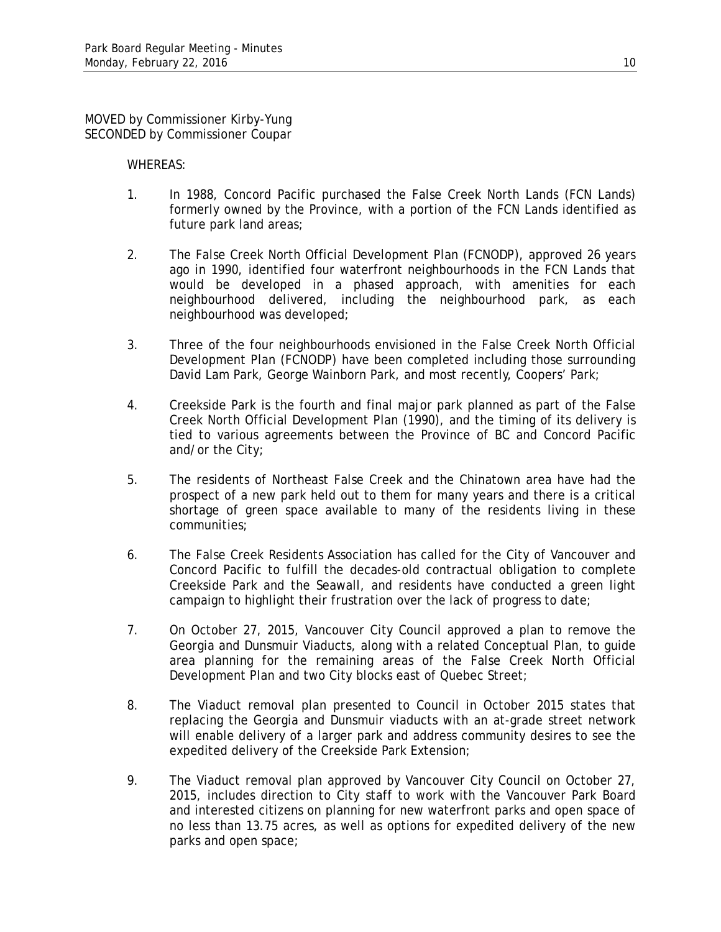MOVED by Commissioner Kirby-Yung SECONDED by Commissioner Coupar

- 1. In 1988, Concord Pacific purchased the False Creek North Lands (FCN Lands) formerly owned by the Province, with a portion of the FCN Lands identified as future park land areas;
- 2. The False Creek North Official Development Plan (FCNODP), approved 26 years ago in 1990, identified four waterfront neighbourhoods in the FCN Lands that would be developed in a phased approach, with amenities for each neighbourhood delivered, including the neighbourhood park, as each neighbourhood was developed;
- 3. Three of the four neighbourhoods envisioned in the False Creek North Official Development Plan (FCNODP) have been completed including those surrounding David Lam Park, George Wainborn Park, and most recently, Coopers' Park;
- 4. Creekside Park is the fourth and final major park planned as part of the False Creek North Official Development Plan (1990), and the timing of its delivery is tied to various agreements between the Province of BC and Concord Pacific and/or the City;
- 5. The residents of Northeast False Creek and the Chinatown area have had the prospect of a new park held out to them for many years and there is a critical shortage of green space available to many of the residents living in these communities;
- 6. The False Creek Residents Association has called for the City of Vancouver and Concord Pacific to fulfill the decades-old contractual obligation to complete Creekside Park and the Seawall, and residents have conducted a green light campaign to highlight their frustration over the lack of progress to date;
- 7. On October 27, 2015, Vancouver City Council approved a plan to remove the Georgia and Dunsmuir Viaducts, along with a related Conceptual Plan, to guide area planning for the remaining areas of the False Creek North Official Development Plan and two City blocks east of Quebec Street;
- 8. The Viaduct removal plan presented to Council in October 2015 states that replacing the Georgia and Dunsmuir viaducts with an at-grade street network will enable delivery of a larger park and address community desires to see the expedited delivery of the Creekside Park Extension;
- 9. The Viaduct removal plan approved by Vancouver City Council on October 27, 2015, includes direction to City staff to work with the Vancouver Park Board and interested citizens on planning for new waterfront parks and open space of no less than 13.75 acres, as well as options for expedited delivery of the new parks and open space;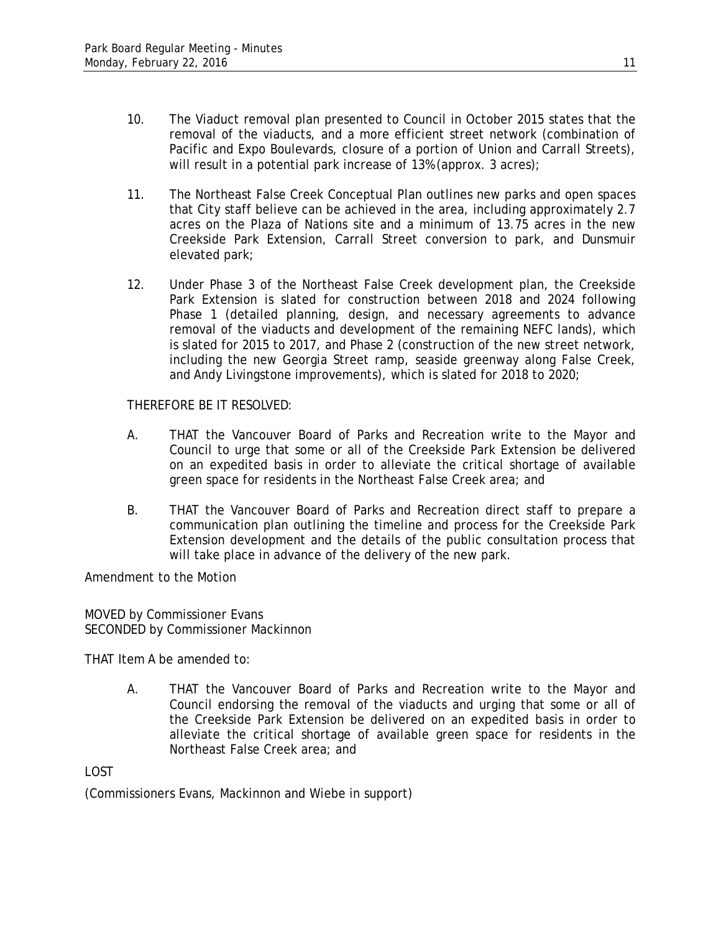- 10. The Viaduct removal plan presented to Council in October 2015 states that the removal of the viaducts, and a more efficient street network (combination of Pacific and Expo Boulevards, closure of a portion of Union and Carrall Streets), will result in a potential park increase of 13% (approx. 3 acres);
- 11. The Northeast False Creek Conceptual Plan outlines new parks and open spaces that City staff believe can be achieved in the area, including approximately 2.7 acres on the Plaza of Nations site and a minimum of 13.75 acres in the new Creekside Park Extension, Carrall Street conversion to park, and Dunsmuir elevated park;
- 12. Under Phase 3 of the Northeast False Creek development plan, the Creekside Park Extension is slated for construction between 2018 and 2024 following Phase 1 (detailed planning, design, and necessary agreements to advance removal of the viaducts and development of the remaining NEFC lands), which is slated for 2015 to 2017, and Phase 2 (construction of the new street network, including the new Georgia Street ramp, seaside greenway along False Creek, and Andy Livingstone improvements), which is slated for 2018 to 2020;

THEREFORE BE IT RESOLVED:

- A. THAT the Vancouver Board of Parks and Recreation write to the Mayor and Council to urge that some or all of the Creekside Park Extension be delivered on an expedited basis in order to alleviate the critical shortage of available green space for residents in the Northeast False Creek area; and
- B. THAT the Vancouver Board of Parks and Recreation direct staff to prepare a communication plan outlining the timeline and process for the Creekside Park Extension development and the details of the public consultation process that will take place in advance of the delivery of the new park.

Amendment to the Motion

MOVED by Commissioner Evans SECONDED by Commissioner Mackinnon

THAT Item A be amended to:

A. THAT the Vancouver Board of Parks and Recreation write to the Mayor and Council endorsing the removal of the viaducts and urging that some or all of the Creekside Park Extension be delivered on an expedited basis in order to alleviate the critical shortage of available green space for residents in the Northeast False Creek area; and

LOST

(Commissioners Evans, Mackinnon and Wiebe in support)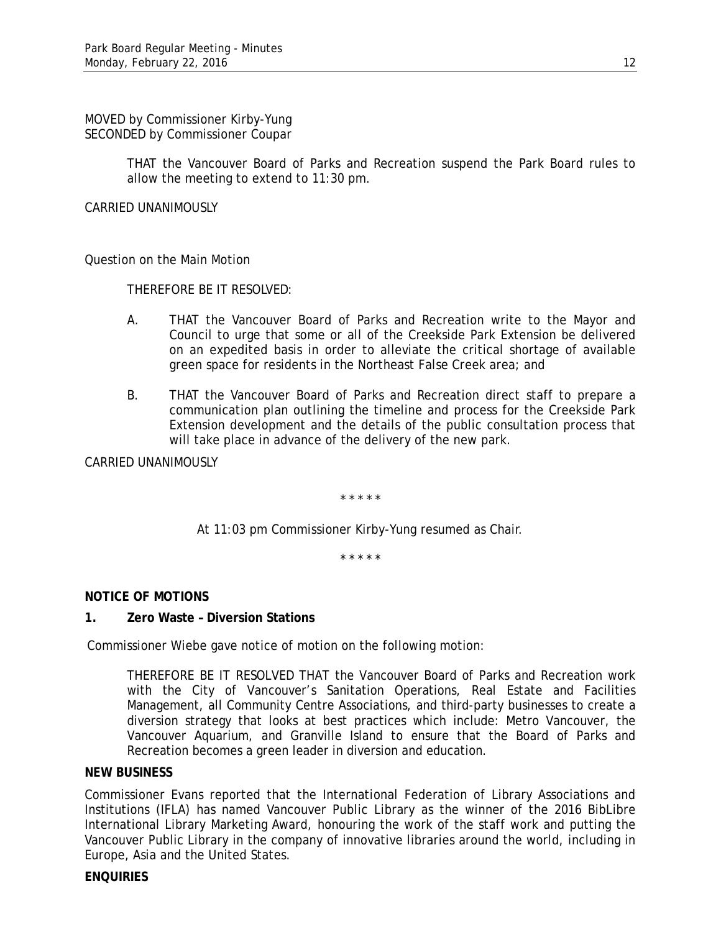MOVED by Commissioner Kirby-Yung SECONDED by Commissioner Coupar

> THAT the Vancouver Board of Parks and Recreation suspend the Park Board rules to allow the meeting to extend to 11:30 pm.

CARRIED UNANIMOUSLY

Question on the Main Motion

THEREFORE BE IT RESOLVED:

- A. THAT the Vancouver Board of Parks and Recreation write to the Mayor and Council to urge that some or all of the Creekside Park Extension be delivered on an expedited basis in order to alleviate the critical shortage of available green space for residents in the Northeast False Creek area; and
- B. THAT the Vancouver Board of Parks and Recreation direct staff to prepare a communication plan outlining the timeline and process for the Creekside Park Extension development and the details of the public consultation process that will take place in advance of the delivery of the new park.

CARRIED UNANIMOUSLY

\* \* \* \* \*

At 11:03 pm Commissioner Kirby-Yung resumed as Chair.

\* \* \* \* \*

# **NOTICE OF MOTIONS**

### **1. Zero Waste – Diversion Stations**

Commissioner Wiebe gave notice of motion on the following motion:

THEREFORE BE IT RESOLVED THAT the Vancouver Board of Parks and Recreation work with the City of Vancouver's Sanitation Operations, Real Estate and Facilities Management, all Community Centre Associations, and third-party businesses to create a diversion strategy that looks at best practices which include: Metro Vancouver, the Vancouver Aquarium, and Granville Island to ensure that the Board of Parks and Recreation becomes a green leader in diversion and education.

### **NEW BUSINESS**

Commissioner Evans reported that the International Federation of Library Associations and Institutions (IFLA) has named Vancouver Public Library as the winner of the 2016 BibLibre International Library Marketing Award, honouring the work of the staff work and putting the Vancouver Public Library in the company of innovative libraries around the world, including in Europe, Asia and the United States.

### **ENQUIRIES**